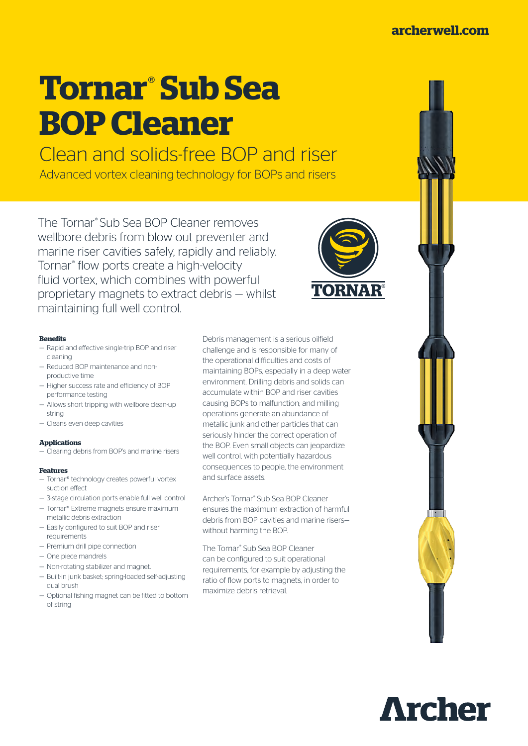### **[archerwell.com](http://www.archerwell.com)**

# **Tornar**® **Sub Sea BOP Cleaner**

# Clean and solids-free BOP and riser

Advanced vortex cleaning technology for BOPs and risers

The Tornar® Sub Sea BOP Cleaner removes wellbore debris from blow out preventer and marine riser cavities safely, rapidly and reliably. Tornar® flow ports create a high-velocity fluid vortex, which combines with powerful proprietary magnets to extract debris — whilst maintaining full well control.



#### **Benefits**

- Rapid and effective single-trip BOP and riser cleaning
- Reduced BOP maintenance and nonproductive time
- Higher success rate and efficiency of BOP performance testing
- Allows short tripping with wellbore clean-up string
- Cleans even deep cavities

#### **Applications**

— Clearing debris from BOP's and marine risers

#### **Features**

- Tornar® technology creates powerful vortex suction effect
- 3-stage circulation ports enable full well control
- Tornar® Extreme magnets ensure maximum metallic debris extraction
- Easily configured to suit BOP and riser requirements
- Premium drill pipe connection
- One piece mandrels
- Non-rotating stabilizer and magnet.
- Built-in junk basket; spring-loaded self-adjusting dual brush
- Optional fishing magnet can be fitted to bottom of string

Debris management is a serious oilfield challenge and is responsible for many of the operational difficulties and costs of maintaining BOPs, especially in a deep water environment. Drilling debris and solids can accumulate within BOP and riser cavities causing BOPs to malfunction; and milling operations generate an abundance of metallic junk and other particles that can seriously hinder the correct operation of the BOP. Even small objects can jeopardize well control, with potentially hazardous consequences to people, the environment and surface assets.

Archer's Tornar® Sub Sea BOP Cleaner ensures the maximum extraction of harmful debris from BOP cavities and marine risers without harming the BOP.

The Tornar® Sub Sea BOP Cleaner can be configured to suit operational requirements, for example by adjusting the ratio of flow ports to magnets, in order to maximize debris retrieval.